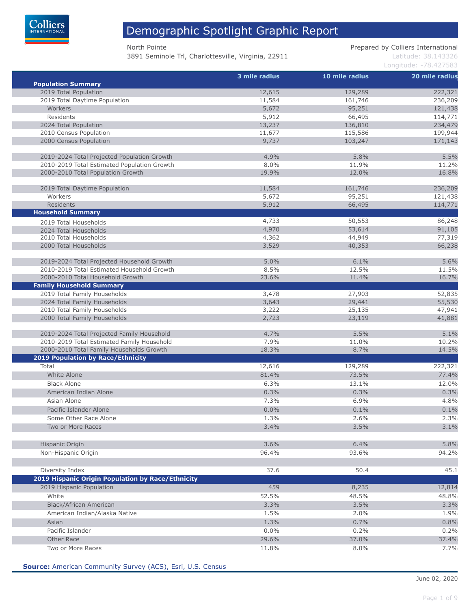

3891 Seminole Trl, Charlottesville, Virginia, 22911 Latitude: 38.143326

North Pointe **Prepared by Colliers International** 

Longitude: -78.427583

|                                                   | 3 mile radius | 10 mile radius | 20 mile radius |
|---------------------------------------------------|---------------|----------------|----------------|
| <b>Population Summary</b>                         |               |                |                |
| 2019 Total Population                             | 12,615        | 129,289        | 222,321        |
| 2019 Total Daytime Population                     | 11,584        | 161,746        | 236,209        |
| Workers                                           | 5,672         | 95,251         | 121,438        |
| Residents                                         | 5,912         | 66,495         | 114,771        |
| 2024 Total Population                             | 13,237        | 136,810        | 234,479        |
| 2010 Census Population                            | 11,677        | 115,586        | 199,944        |
| 2000 Census Population                            | 9,737         | 103,247        | 171,143        |
| 2019-2024 Total Projected Population Growth       | 4.9%          | 5.8%           | 5.5%           |
| 2010-2019 Total Estimated Population Growth       | 8.0%          | 11.9%          | 11.2%          |
| 2000-2010 Total Population Growth                 | 19.9%         | 12.0%          | 16.8%          |
| 2019 Total Daytime Population                     | 11,584        | 161,746        | 236,209        |
| Workers                                           | 5,672         | 95,251         | 121,438        |
| <b>Residents</b>                                  | 5,912         | 66,495         | 114,771        |
| <b>Household Summary</b>                          |               |                |                |
| 2019 Total Households                             | 4,733         | 50,553         | 86,248         |
| 2024 Total Households                             | 4,970         | 53,614         | 91,105         |
| 2010 Total Households                             | 4,362         | 44,949         | 77,319         |
| 2000 Total Households                             | 3,529         | 40,353         | 66,238         |
| 2019-2024 Total Projected Household Growth        | 5.0%          | 6.1%           | 5.6%           |
| 2010-2019 Total Estimated Household Growth        | 8.5%          | 12.5%          | 11.5%          |
| 2000-2010 Total Household Growth                  | 23.6%         | 11.4%          | 16.7%          |
| <b>Family Household Summary</b>                   |               |                |                |
| 2019 Total Family Households                      | 3,478         | 27,903         | 52,835         |
| 2024 Total Family Households                      | 3,643         | 29,441         | 55,530         |
| 2010 Total Family Households                      | 3,222         | 25,135         | 47,941         |
| 2000 Total Family Households                      | 2,723         | 23,119         | 41,881         |
| 2019-2024 Total Projected Family Household        | 4.7%          | 5.5%           | 5.1%           |
| 2010-2019 Total Estimated Family Household        | 7.9%          | 11.0%          | 10.2%          |
| 2000-2010 Total Family Households Growth          | 18.3%         | 8.7%           | 14.5%          |
| <b>2019 Population by Race/Ethnicity</b>          |               |                |                |
| Total                                             | 12,616        | 129,289        | 222,321        |
| White Alone                                       | 81.4%         | 73.5%          | 77.4%          |
| <b>Black Alone</b>                                | 6.3%          | 13.1%          | 12.0%          |
| American Indian Alone                             | 0.3%          | 0.3%           | 0.3%           |
|                                                   |               |                |                |
| Asian Alone                                       | 7.3%          | 6.9%           | 4.8%           |
| Pacific Islander Alone                            | $0.0\%$       | 0.1%           | 0.1%           |
| Some Other Race Alone                             | 1.3%          | 2.6%           | 2.3%           |
| Two or More Races                                 | 3.4%          | 3.5%           | 3.1%           |
| Hispanic Origin                                   | 3.6%          | 6.4%           | 5.8%           |
| Non-Hispanic Origin                               | 96.4%         | 93.6%          | 94.2%          |
|                                                   |               |                |                |
| Diversity Index                                   | 37.6          | 50.4           | 45.1           |
| 2019 Hispanic Origin Population by Race/Ethnicity |               |                |                |
| 2019 Hispanic Population                          | 459           | 8,235          | 12,814         |
| White                                             | 52.5%         | 48.5%          | 48.8%          |
| Black/African American                            | 3.3%          | 3.5%           | 3.3%           |
| American Indian/Alaska Native                     | 1.5%          | 2.0%           | 1.9%           |
| Asian                                             | 1.3%          | 0.7%           | 0.8%           |
| Pacific Islander                                  | 0.0%          | 0.2%           | 0.2%           |
| Other Race                                        | 29.6%         | 37.0%          | 37.4%          |
| Two or More Races                                 | 11.8%         | 8.0%           | 7.7%           |

**Source:** American Community Survey (ACS), Esri, U.S. Census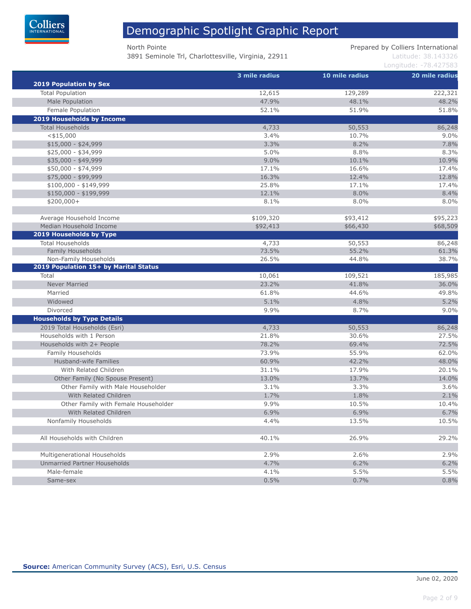

3891 Seminole Trl, Charlottesville, Virginia, 22911 Latitude: 38.143326

North Pointe **Prepared by Colliers International** 

|                                       | 3 mile radius | 10 mile radius | 20 mile radius |
|---------------------------------------|---------------|----------------|----------------|
| <b>2019 Population by Sex</b>         |               |                |                |
| <b>Total Population</b>               | 12,615        | 129,289        | 222,321        |
| Male Population                       | 47.9%         | 48.1%          | 48.2%          |
| Female Population                     | 52.1%         | 51.9%          | 51.8%          |
| 2019 Households by Income             |               |                |                |
| <b>Total Households</b>               | 4,733         | 50,553         | 86,248         |
| $<$ \$15,000                          | 3.4%          | 10.7%          | 9.0%           |
| $$15,000 - $24,999$                   | 3.3%          | 8.2%           | 7.8%           |
| $$25,000 - $34,999$                   | 5.0%          | 8.8%           | 8.3%           |
| \$35,000 - \$49,999                   | 9.0%          | 10.1%          | 10.9%          |
| \$50,000 - \$74,999                   | 17.1%         | 16.6%          | 17.4%          |
| \$75,000 - \$99,999                   | 16.3%         | 12.4%          | 12.8%          |
| $$100,000 - $149,999$                 | 25.8%         | 17.1%          | 17.4%          |
| $$150,000 - $199,999$                 | 12.1%         | 8.0%           | 8.4%           |
| $$200,000+$                           | 8.1%          | 8.0%           | 8.0%           |
| Average Household Income              | \$109,320     | \$93,412       | \$95,223       |
| Median Household Income               | \$92,413      | \$66,430       | \$68,509       |
| 2019 Households by Type               |               |                |                |
| <b>Total Households</b>               | 4,733         | 50,553         | 86,248         |
| Family Households                     | 73.5%         | 55.2%          | 61.3%          |
| Non-Family Households                 | 26.5%         | 44.8%          | 38.7%          |
| 2019 Population 15+ by Marital Status |               |                |                |
| Total                                 | 10,061        | 109,521        | 185,985        |
| <b>Never Married</b>                  | 23.2%         | 41.8%          | 36.0%          |
| Married                               | 61.8%         | 44.6%          | 49.8%          |
| Widowed                               | 5.1%          | 4.8%           | 5.2%           |
| Divorced                              | 9.9%          | 8.7%           | 9.0%           |
| <b>Households by Type Details</b>     |               |                |                |
| 2019 Total Households (Esri)          | 4,733         | 50,553         | 86,248         |
| Households with 1 Person              | 21.8%         | 30.6%          | 27.5%          |
| Households with 2+ People             | 78.2%         | 69.4%          | 72.5%          |
| Family Households                     | 73.9%         | 55.9%          | 62.0%          |
| Husband-wife Families                 | 60.9%         | 42.2%          | 48.0%          |
| With Related Children                 | 31.1%         | 17.9%          | 20.1%          |
| Other Family (No Spouse Present)      | 13.0%         | 13.7%          | 14.0%          |
|                                       |               |                |                |
| Other Family with Male Householder    | 3.1%          | 3.3%           | 3.6%           |
| With Related Children                 | 1.7%          | 1.8%           | 2.1%           |
| Other Family with Female Householder  | 9.9%          | 10.5%          | 10.4%          |
| With Related Children                 | 6.9%          | 6.9%           | 6.7%           |
| Nonfamily Households                  | 4.4%          | 13.5%          | 10.5%          |
| All Households with Children          | 40.1%         | 26.9%          | 29.2%          |
| Multigenerational Households          | 2.9%          | 2.6%           | 2.9%           |
| Unmarried Partner Households          | 4.7%          | 6.2%           | 6.2%           |
| Male-female                           | 4.1%          | 5.5%           | 5.5%           |
| Same-sex                              | 0.5%          | 0.7%           | 0.8%           |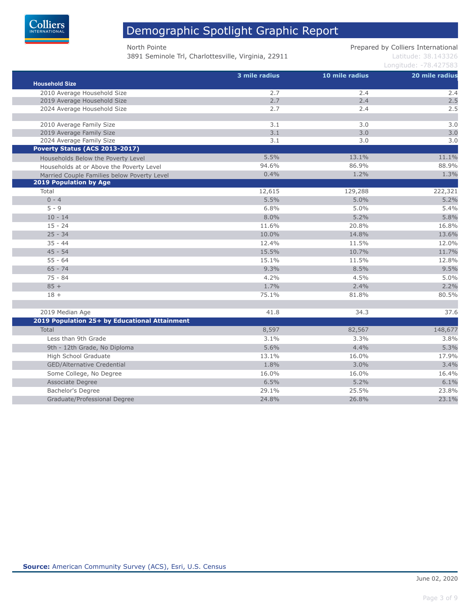

3891 Seminole Trl, Charlottesville, Virginia, 22911 Latitude: 38.143326

North Pointe **Prepared by Colliers International** 

| <b>Household Size</b>                         | 3 mile radius | 10 mile radius | 20 mile radius |  |
|-----------------------------------------------|---------------|----------------|----------------|--|
| 2010 Average Household Size                   | 2.7           | 2.4            | 2.4            |  |
| 2019 Average Household Size                   | 2.7           | 2.4            | 2.5            |  |
| 2024 Average Household Size                   | 2.7           | 2.4            | 2.5            |  |
| 2010 Average Family Size                      | 3.1           | 3.0            | 3.0            |  |
| 2019 Average Family Size                      | 3.1           | 3.0            | 3.0            |  |
| 2024 Average Family Size                      | 3.1           | 3.0            | 3.0            |  |
| Poverty Status (ACS 2013-2017)                |               |                |                |  |
| Households Below the Poverty Level            | 5.5%          | 13.1%          | 11.1%          |  |
| Households at or Above the Poverty Level      | 94.6%         | 86.9%          | 88.9%          |  |
| Married Couple Families below Poverty Level   | 0.4%          | 1.2%           | 1.3%           |  |
| <b>2019 Population by Age</b>                 |               |                |                |  |
| Total                                         | 12,615        | 129,288        | 222,321        |  |
| $0 - 4$                                       | 5.5%          | 5.0%           | 5.2%           |  |
| $5 - 9$                                       | 6.8%          | 5.0%           | 5.4%           |  |
| $10 - 14$                                     | 8.0%          | 5.2%           | 5.8%           |  |
| $15 - 24$                                     | 11.6%         | 20.8%          | 16.8%          |  |
| $25 - 34$                                     | 10.0%         | 14.8%          | 13.6%          |  |
| $35 - 44$                                     | 12.4%         | 11.5%          | 12.0%          |  |
| $45 - 54$                                     | 15.5%         | 10.7%          | 11.7%          |  |
| $55 - 64$                                     | 15.1%         | 11.5%          | 12.8%          |  |
| $65 - 74$                                     | 9.3%          | 8.5%           | 9.5%           |  |
| $75 - 84$                                     | 4.2%          | 4.5%           | 5.0%           |  |
| $85 +$                                        | 1.7%          | 2.4%           | 2.2%           |  |
| $18 +$                                        | 75.1%         | 81.8%          | 80.5%          |  |
| 2019 Median Age                               | 41.8          | 34.3           | 37.6           |  |
| 2019 Population 25+ by Educational Attainment |               |                |                |  |
| Total                                         | 8,597         | 82,567         | 148,677        |  |
| Less than 9th Grade                           | 3.1%          | 3.3%           | 3.8%           |  |
| 9th - 12th Grade, No Diploma                  | 5.6%          | 4.4%           | 5.3%           |  |
| High School Graduate                          | 13.1%         | 16.0%          | 17.9%          |  |
| <b>GED/Alternative Credential</b>             | 1.8%          | 3.0%           | 3.4%           |  |
| Some College, No Degree                       | 16.0%         | 16.0%          | 16.4%          |  |
| Associate Degree                              | 6.5%          | 5.2%           | 6.1%           |  |
| Bachelor's Degree                             | 29.1%         | 25.5%          | 23.8%          |  |
| Graduate/Professional Degree                  | 24.8%         | 26.8%          | 23.1%          |  |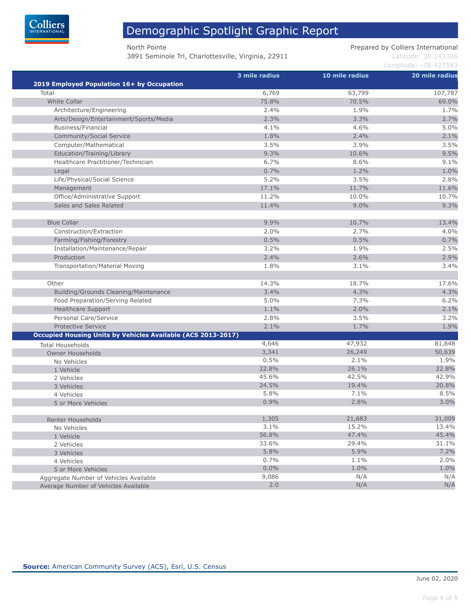

3891 Seminole Trl, Charlottesville, Virginia, 22911 Latitude: 38.143326

North Pointe **Prepared by Colliers International** 

| 2019 Employed Population 16+ by Occupation                   | 3 mile radius | 10 mile radius | 20 mile radius |
|--------------------------------------------------------------|---------------|----------------|----------------|
| Total                                                        | 6,769         | 63,799         | 107,787        |
| <b>White Collar</b>                                          | 75.8%         | 70.5%          | 69.0%          |
| Architecture/Engineering                                     | 2.4%          | 1.9%           | 1.7%           |
| Arts/Design/Entertainment/Sports/Media                       | 2.3%          | 3.3%           | 2.7%           |
| <b>Business/Financial</b>                                    | 4.1%          | 4.6%           | 5.0%           |
| <b>Community/Social Service</b>                              | 1.8%          | 2.4%           | 2.1%           |
| Computer/Mathematical                                        | 3.5%          | 3.9%           | 3.5%           |
| Education/Training/Library                                   | 9.3%          | 10.6%          | 9.5%           |
| Healthcare Practitioner/Technician                           | 6.7%          | 8.6%           | 9.1%           |
| Legal                                                        | 0.7%          | 1.2%           | 1.0%           |
| Life/Physical/Social Science                                 | 5.2%          | 3.5%           | 2.8%           |
|                                                              |               |                |                |
| Management                                                   | 17.1%         | 11.7%          | 11.6%          |
| Office/Administrative Support                                | 11.2%         | 10.0%          | 10.7%          |
| Sales and Sales Related                                      | 11.4%         | 9.0%           | 9.3%           |
| <b>Blue Collar</b>                                           | 9.9%          | 10.7%          | 13.4%          |
| Construction/Extraction                                      | 2.0%          | 2.7%           | 4.0%           |
| Farming/Fishing/Forestry                                     | 0.5%          | 0.5%           | 0.7%           |
| Installation/Maintenance/Repair                              | 3.2%          | 1.9%           | 2.5%           |
| Production                                                   | 2.4%          | 2.6%           | 2.9%           |
| Transportation/Material Moving                               | 1.8%          | 3.1%           | 3.4%           |
|                                                              |               |                |                |
| Other                                                        | 14.3%         | 18.7%          | 17.6%          |
| <b>Building/Grounds Cleaning/Maintenance</b>                 | 3.4%          | 4.3%           | 4.3%           |
| Food Preparation/Serving Related                             | 5.0%          | 7.3%           | 6.2%           |
| Healthcare Support                                           | 1.1%          | 2.0%           | 2.1%           |
| Personal Care/Service                                        | 2.8%          | 3.5%           | 3.2%           |
| <b>Protective Service</b>                                    | 2.1%          | 1.7%           | 1.9%           |
| Occupied Housing Units by Vehicles Available (ACS 2013-2017) |               |                |                |
| <b>Total Households</b>                                      | 4,646         | 47,932         | 81,648         |
| <b>Owner Households</b>                                      | 3,341         | 26,249         | 50,639         |
| No Vehicles                                                  | 0.5%          | 2.1%           | 1.9%           |
| 1 Vehicle                                                    | 22.8%         | 26.1%          | 22.8%          |
| 2 Vehicles                                                   | 45.6%         | 42.5%          | 42.9%          |
| 3 Vehicles                                                   | 24.5%         | 19.4%          | 20.8%          |
| 4 Vehicles                                                   | 5.8%          | 7.1%           | 8.5%           |
| 5 or More Vehicles                                           | 0.9%          | 2.8%           | 3.0%           |
| Renter Households                                            | 1,305         | 21,683         | 31,009         |
| No Vehicles                                                  | 3.1%          | 15.2%          | 13.4%          |
| 1 Vehicle                                                    | 56.8%         | 47.4%          | 45.4%          |
| 2 Vehicles                                                   | 33.6%         | 29.4%          | 31.1%          |
| 3 Vehicles                                                   | 5.8%          | 5.9%           | 7.2%           |
| 4 Vehicles                                                   | 0.7%          | 1.1%           | 2.0%           |
| 5 or More Vehicles                                           | 0.0%          | 1.0%           | 1.0%           |
| Aggregate Number of Vehicles Available                       | 9,086         | N/A            | N/A            |
| Average Number of Vehicles Available                         | 2.0           | N/A            | N/A            |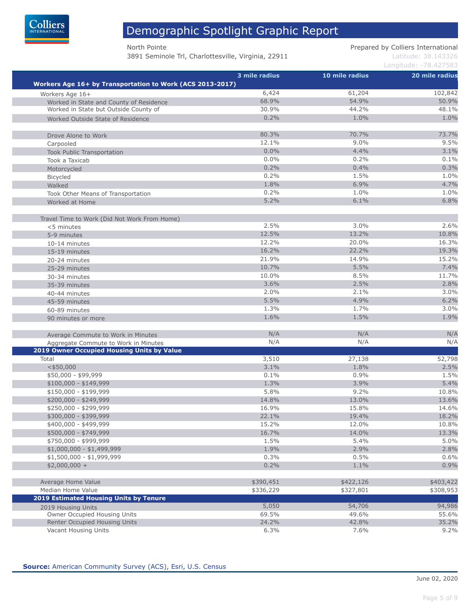

3891 Seminole Trl, Charlottesville, Virginia, 22911 Latitude: 38.143326

North Pointe **Prepared by Colliers International** 

|                                                                                    | 3 mile radius | 10 mile radius | 20 mile radius |
|------------------------------------------------------------------------------------|---------------|----------------|----------------|
| Workers Age 16+ by Transportation to Work (ACS 2013-2017)                          |               |                |                |
| Workers Age 16+                                                                    | 6,424         | 61,204         | 102,842        |
| Worked in State and County of Residence                                            | 68.9%         | 54.9%          | 50.9%          |
| Worked in State but Outside County of                                              | 30.9%         | 44.2%          | 48.1%          |
| Worked Outside State of Residence                                                  | 0.2%          | 1.0%           | 1.0%           |
| Drove Alone to Work                                                                | 80.3%         | 70.7%          | 73.7%          |
|                                                                                    | 12.1%         | 9.0%           | 9.5%           |
| Carpooled<br><b>Took Public Transportation</b>                                     | 0.0%          | 4.4%           | 3.1%           |
| Took a Taxicab                                                                     | $0.0\%$       | 0.2%           | 0.1%           |
| Motorcycled                                                                        | 0.2%          | 0.4%           | 0.3%           |
| Bicycled                                                                           | 0.2%          | 1.5%           | 1.0%           |
| Walked                                                                             | 1.8%          | 6.9%           | 4.7%           |
| Took Other Means of Transportation                                                 | 0.2%          | 1.0%           | 1.0%           |
| Worked at Home                                                                     | 5.2%          | 6.1%           | 6.8%           |
|                                                                                    |               |                |                |
| Travel Time to Work (Did Not Work From Home)<br><5 minutes                         | 2.5%          | 3.0%           | 2.6%           |
| 5-9 minutes                                                                        | 12.5%         | 13.2%          | 10.8%          |
| 10-14 minutes                                                                      | 12.2%         | 20.0%          | 16.3%          |
| 15-19 minutes                                                                      | 16.2%         | 22.2%          | 19.3%          |
| 20-24 minutes                                                                      | 21.9%         | 14.9%          | 15.2%          |
| 25-29 minutes                                                                      | 10.7%         | 5.5%           | 7.4%           |
| 30-34 minutes                                                                      | 10.0%         | 8.5%           | 11.7%          |
| 35-39 minutes                                                                      | 3.6%          | 2.5%           | 2.8%           |
| 40-44 minutes                                                                      | 2.0%          | 2.1%           | 3.0%           |
| 45-59 minutes                                                                      | 5.5%          | 4.9%           | 6.2%           |
| 60-89 minutes                                                                      | 1.3%          | 1.7%           | 3.0%           |
| 90 minutes or more                                                                 | 1.6%          | 1.5%           | 1.9%           |
|                                                                                    | N/A           | N/A            | N/A            |
| Average Commute to Work in Minutes                                                 | N/A           | N/A            | N/A            |
| Aggregate Commute to Work in Minutes<br>2019 Owner Occupied Housing Units by Value |               |                |                |
| Total                                                                              | 3,510         | 27,138         | 52,798         |
| $<$ \$50,000                                                                       | 3.1%          | 1.8%           | 2.5%           |
| \$50,000 - \$99,999                                                                | 0.1%          | 0.9%           | 1.5%           |
| $$100,000 - $149,999$                                                              | 1.3%          | 3.9%           | 5.4%           |
| $$150,000 - $199,999$                                                              | 5.8%          | 9.2%           | 10.8%          |
| \$200,000 - \$249,999                                                              | 14.8%         | 13.0%          | 13.6%          |
| \$250,000 - \$299,999                                                              | 16.9%         | 15.8%          | 14.6%          |
| \$300,000 - \$399,999                                                              | 22.1%         | 19.4%          | 18.2%          |
| \$400,000 - \$499,999                                                              | 15.2%         | 12.0%          | 10.8%          |
| \$500,000 - \$749,999                                                              | 16.7%         | 14.0%          | 13.3%          |
| \$750,000 - \$999,999                                                              | 1.5%          | 5.4%           | 5.0%           |
| $$1,000,000 - $1,499,999$                                                          | 1.9%          | 2.9%           | 2.8%           |
| $$1,500,000 - $1,999,999$                                                          | 0.3%          | 0.5%           | 0.6%           |
| $$2,000,000 +$                                                                     | 0.2%          | 1.1%           | 0.9%           |
| Average Home Value                                                                 | \$390,451     | \$422,126      | \$403,422      |
| Median Home Value                                                                  | \$336,229     | \$327,801      | \$308,953      |
| 2019 Estimated Housing Units by Tenure                                             |               |                |                |
| 2019 Housing Units                                                                 | 5,050         | 54,706         | 94,986         |
| Owner Occupied Housing Units                                                       | 69.5%         | 49.6%          | 55.6%          |
| Renter Occupied Housing Units                                                      | 24.2%         | 42.8%          | 35.2%          |
| Vacant Housing Units                                                               | 6.3%          | 7.6%           | 9.2%           |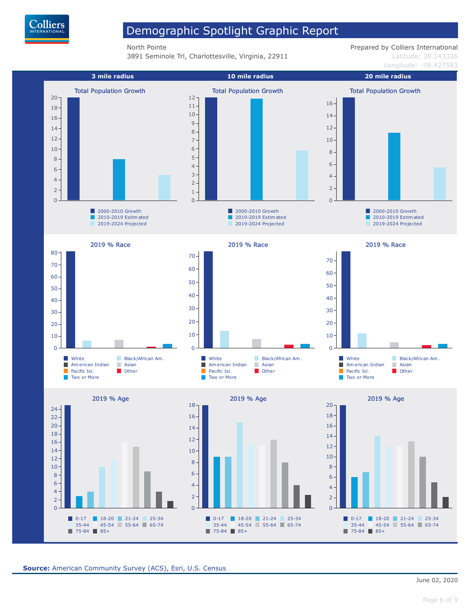

**3891 Seminole Trl, Charlottesville, Virginia, 22911** Latitude: 38.143326

North Pointe **Prepared by Colliers International** 

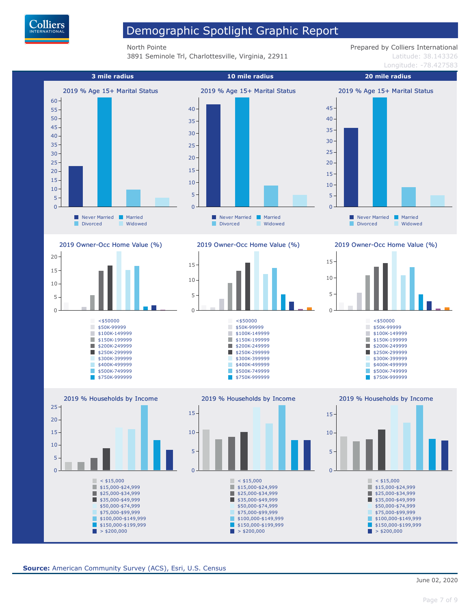

**3891 Seminole Trl, Charlottesville, Virginia, 22911** Latitude: 38.143326

North Pointe **Prepared by Colliers International** 

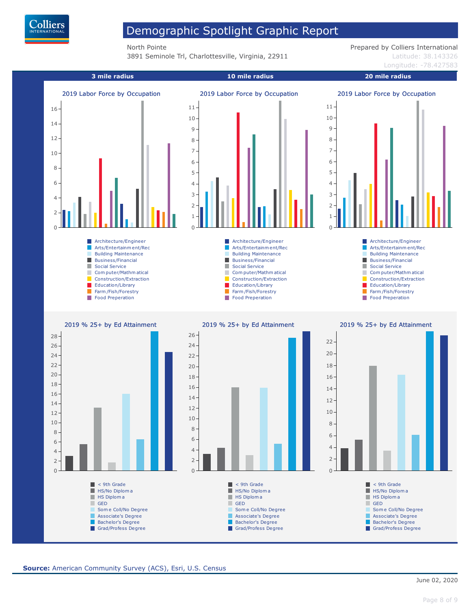

**3891 Seminole Trl, Charlottesville, Virginia, 22911** Latitude: 38.143326

North Pointe **Prepared by Colliers International**